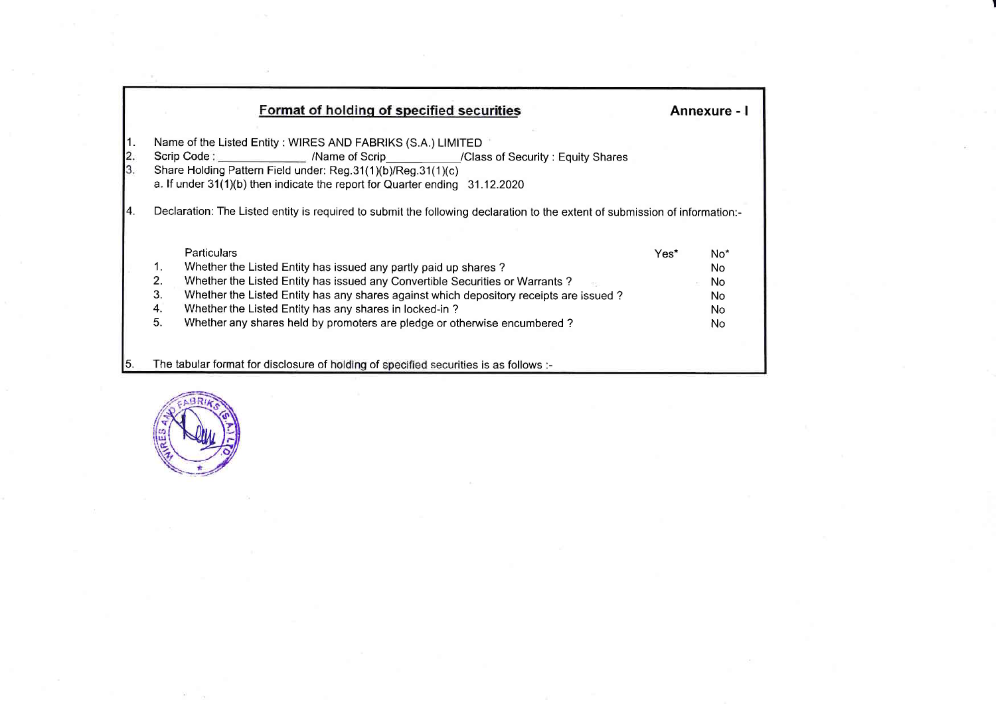|                     | Format of holding of specified securities                                                                                                                                                                                                                                  |      | Annexure - I           |
|---------------------|----------------------------------------------------------------------------------------------------------------------------------------------------------------------------------------------------------------------------------------------------------------------------|------|------------------------|
| 1.<br>$\frac{2}{3}$ | Name of the Listed Entity: WIRES AND FABRIKS (S.A.) LIMITED<br>Scrip Code: Mame of Scrip / Class of Security: Equity Shares<br>Share Holding Pattern Field under: Reg.31(1)(b)/Reg.31(1)(c)<br>a. If under 31(1)(b) then indicate the report for Quarter ending 31.12.2020 |      |                        |
| 14.                 | Declaration: The Listed entity is required to submit the following declaration to the extent of submission of information:-                                                                                                                                                |      |                        |
|                     | Particulars                                                                                                                                                                                                                                                                | Yes* |                        |
|                     | 1.<br>Whether the Listed Entity has issued any partly paid up shares?                                                                                                                                                                                                      |      | No <sup>*</sup><br>No. |
|                     | 2.<br>Whether the Listed Entity has issued any Convertible Securities or Warrants?                                                                                                                                                                                         |      | No.                    |
|                     | 3.<br>Whether the Listed Entity has any shares against which depository receipts are issued?                                                                                                                                                                               |      | No.                    |
|                     | 4.<br>Whether the Listed Entity has any shares in locked-in?                                                                                                                                                                                                               |      | No.                    |
|                     |                                                                                                                                                                                                                                                                            |      |                        |
|                     | 5.<br>Whether any shares held by promoters are pledge or otherwise encumbered?                                                                                                                                                                                             |      | No.                    |
|                     |                                                                                                                                                                                                                                                                            |      |                        |
| I5.                 | The tabular format for disclosure of holding of specified securities is as follows :-                                                                                                                                                                                      |      |                        |

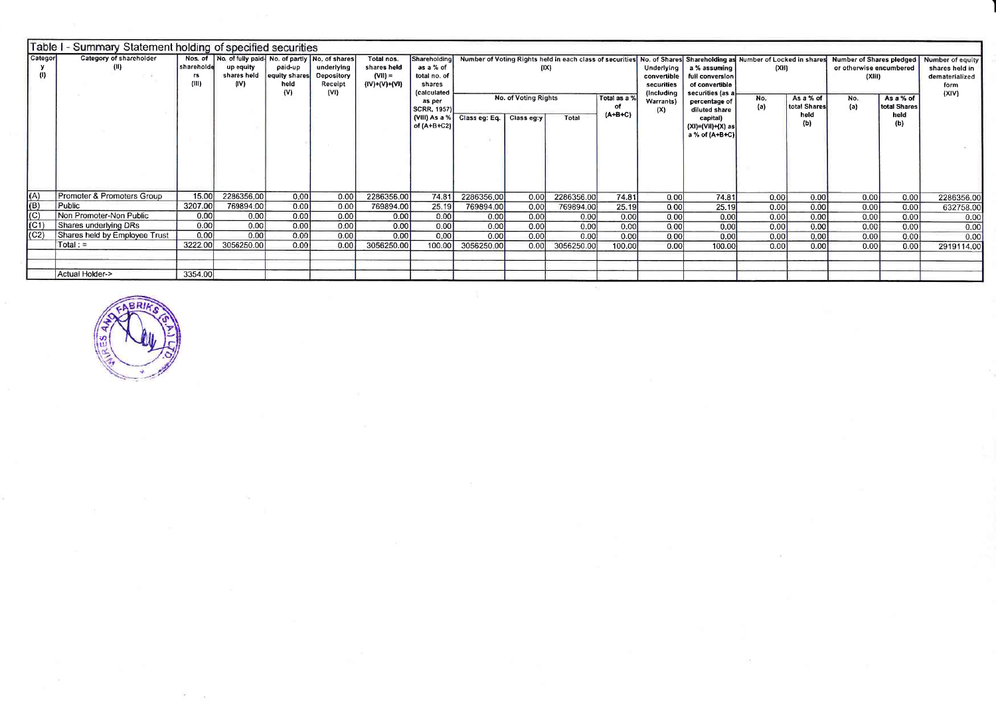|                   | Table I - Summary Statement holding of specified securities |                            |                                                                            |                                              |                                     |                                                         |                                                                                  |                                                                    |      |            |                           |                                                       |                                                                                                                                                                        |            |                                   |                                                               |                                   |                                                              |
|-------------------|-------------------------------------------------------------|----------------------------|----------------------------------------------------------------------------|----------------------------------------------|-------------------------------------|---------------------------------------------------------|----------------------------------------------------------------------------------|--------------------------------------------------------------------|------|------------|---------------------------|-------------------------------------------------------|------------------------------------------------------------------------------------------------------------------------------------------------------------------------|------------|-----------------------------------|---------------------------------------------------------------|-----------------------------------|--------------------------------------------------------------|
| Categor<br>(1)    | Category of shareholder<br>(II)                             | shareholde<br>rs.<br>(III) | Nos. of No. of fully paid No. of partly No. of shares<br>up equity<br>(IV) | paid-up<br>shares held equity shares<br>held | underlying<br>Depository<br>Receipt | Total nos.<br>shares held<br>$(VII) =$<br>(IV)+(V)+(VI) | Shareholding<br>as a % of<br>total no. of<br>shares<br><i><b>fcalculated</b></i> |                                                                    |      | ( X )      |                           | Underlying<br>convertible<br>securities<br>(Including | Number of Voting Rights held in each class of securities No. of Shares Shareholding as Number of Locked in shares<br>a % assuming<br>full conversion<br>of convertible | (XH)       |                                   | Number of Shares pledged<br>or otherwise encumbered<br>(XIII) |                                   | Number of equity<br>shares held in<br>dematerialized<br>form |
|                   |                                                             |                            |                                                                            | (V)                                          | (VI)                                |                                                         | as per<br><b>SCRR, 1957)</b><br>(VIII) As a %                                    | <b>No. of Voting Rights</b><br>Class eg: Eq.   Class eg:y<br>Total |      |            | Total as a %<br>$(A+B+C)$ | Warrants)<br>(X)                                      | securities (as a<br>percentage of<br>diluted share                                                                                                                     | No.<br>(a) | As a % of<br>total Shares<br>held | No.<br>(a)                                                    | As a % of<br>total Shares<br>held | (XIV)                                                        |
|                   |                                                             |                            |                                                                            |                                              |                                     |                                                         | of $(A+B+C2)$                                                                    |                                                                    |      |            |                           |                                                       | capital)<br>$(XI)= (VII)+ (X) as$<br>a % of (A+B+C)                                                                                                                    |            | (b)                               |                                                               | (b)                               |                                                              |
|                   |                                                             |                            |                                                                            |                                              |                                     |                                                         |                                                                                  |                                                                    |      |            |                           |                                                       |                                                                                                                                                                        |            |                                   |                                                               |                                   |                                                              |
| (A)               | Promoter & Promoters Group                                  | 15.00                      | 2286356.00                                                                 | 0.00                                         | 0.00                                | 2286356.00                                              | 74.81                                                                            | 2286356.00                                                         | 0.00 | 2286356.00 | 74.81                     | 0.00                                                  | 74.81                                                                                                                                                                  | 0.00       | 0.00                              | 0.00                                                          | 0.00                              | 2286356.00                                                   |
| $\frac{(B)}{(C)}$ | Public                                                      | 3207.00                    | 769894.00                                                                  | 0.00                                         | 0.00                                | 769894.00                                               | 25.19                                                                            | 769894.00                                                          | 0.00 | 769894.00  | 25.19                     | 0.00                                                  | 25.19                                                                                                                                                                  | 0.00       | 0.00                              | 0.00                                                          | 0.00                              | 632758.00                                                    |
|                   | Non Promoter-Non Public                                     | 0.00                       | 0.00                                                                       | 0.00                                         | 0.00                                | 0.00                                                    | 0.00                                                                             | 0.00                                                               | 0.00 | 0.00       | 0.00                      | 0.00                                                  | 0.00                                                                                                                                                                   | 0.00       | 0.00                              | 0.00                                                          | 0.00                              | 0.00                                                         |
| (C1)              | Shares underlying DRs                                       | 0.00                       | 0.00                                                                       | 0.00                                         | 0.00                                | 0.00                                                    | 0.00                                                                             | 0.00                                                               | 0.00 | 0.00       | 0.00                      | 0.00                                                  | 0.00                                                                                                                                                                   | 0.00       | 0.00 <sub>l</sub>                 | 0.00                                                          | 0.00                              | 0.00                                                         |
| (C2)              | Shares held by Employee Trust                               | 0.00                       | 0.00                                                                       | 0.00                                         | 0.00                                | 0.00                                                    | 0.00                                                                             | 0.00                                                               | 0.00 | 0.00       | 0.00                      | 0.00                                                  | 0.00                                                                                                                                                                   | 0.00       | 0.00                              | 0.00                                                          | 0.00                              | 0.00                                                         |
|                   | $Total: =$                                                  | 3222.00                    | 3056250.00                                                                 | 0.00                                         | 0.00                                | 3056250.00                                              | 100.00                                                                           | 3056250.00                                                         | 0.00 | 3056250.00 | 100,00                    | 0.00                                                  | 100.00                                                                                                                                                                 | 0.00       | 0.00                              | 0.00                                                          | 0.00                              | 2919114.00                                                   |
|                   | Actual Holder->                                             | 3354.00                    |                                                                            |                                              |                                     |                                                         |                                                                                  |                                                                    |      |            |                           |                                                       |                                                                                                                                                                        |            |                                   |                                                               |                                   |                                                              |

 $\sim$ 



 $\langle \Delta \rangle$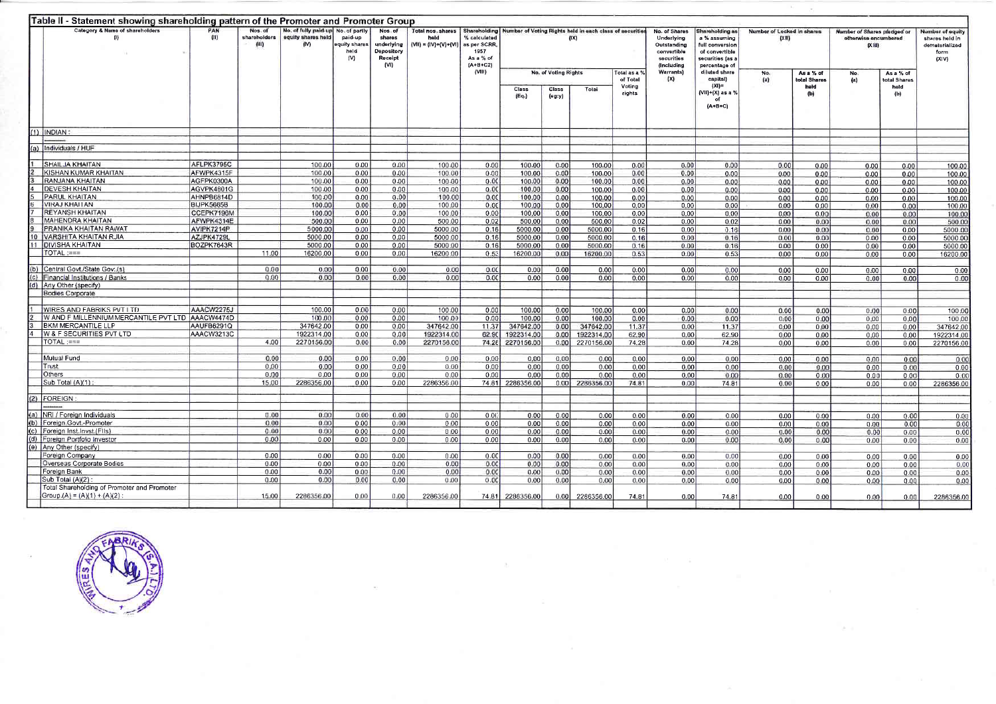|      | Table II - Statement showing shareholding pattern of the Promoter and Promoter Group |             |                                  |                                                    |                                                          |                                                                  |                                                                   |                                                                |                                                          |                 |            |                  |                                                                                       |                                                                                                           |                                     |                           |                                                               |                           |                                                                       |
|------|--------------------------------------------------------------------------------------|-------------|----------------------------------|----------------------------------------------------|----------------------------------------------------------|------------------------------------------------------------------|-------------------------------------------------------------------|----------------------------------------------------------------|----------------------------------------------------------|-----------------|------------|------------------|---------------------------------------------------------------------------------------|-----------------------------------------------------------------------------------------------------------|-------------------------------------|---------------------------|---------------------------------------------------------------|---------------------------|-----------------------------------------------------------------------|
|      | Category & Name of shareholders<br>(1)                                               | PAN<br>(11) | Nos. of<br>shareholders<br>(III) | No. of fully paid-up<br>equity shares held<br>(IV) | No. of partly<br>paid-up<br>aquity shares<br>held<br>(V) | Nos, of<br>shares<br>underlying<br>Depository<br>Receipt<br>(VI) | Total nos, shares Shareholding<br>held<br>$(VII) = (IV)+(V)+(VI)$ | % calculated<br>as per SCRR<br>1957<br>As a % of<br>$(A+B+C2)$ | Number of Voting Rights held in each class of securities |                 | (IX)       |                  | No. of Shares<br>Underlying<br>Outstanding<br>convertible<br>securities<br>(Including | Shareholding as<br>a % assuming<br>full conversion<br>of convertible<br>securities (as a<br>percentage of | Number of Locked in shares<br>(X  ) |                           | Number of Shares pledged or<br>otherwise encumbered<br>(Xiii) |                           | Number of equity<br>shares held in<br>dematerialized<br>form<br>(X V) |
|      |                                                                                      |             |                                  |                                                    |                                                          |                                                                  |                                                                   | (VIII)                                                         | No. of Voting Rights<br>of Total                         |                 |            | Total as a °     | Warrants)<br>(X)                                                                      | diluted share<br>capital)                                                                                 | No.<br>(a)                          | As a % of<br>total Shares | No.<br>$\left( a\right)$                                      | As a % of<br>total Shares |                                                                       |
|      |                                                                                      |             |                                  |                                                    |                                                          |                                                                  |                                                                   |                                                                | Class<br>(Eq)                                            | Class<br>(eg:y) | Total      | Voting<br>rights |                                                                                       | $(X) =$<br>VII)+(X) as a %<br>$(A+B+C)$                                                                   |                                     | held<br>(b)               |                                                               | held<br>(b)               |                                                                       |
|      | $(1)$ INDIAN:                                                                        |             |                                  |                                                    |                                                          |                                                                  |                                                                   |                                                                |                                                          |                 |            |                  |                                                                                       |                                                                                                           |                                     |                           |                                                               |                           |                                                                       |
| l(a) | Individuals / HUF                                                                    |             |                                  |                                                    |                                                          |                                                                  |                                                                   |                                                                |                                                          |                 |            |                  |                                                                                       |                                                                                                           |                                     |                           |                                                               |                           |                                                                       |
|      | SHAILJA KHAITAN                                                                      | AFLPK3795C  |                                  | 100.00                                             | 0.00                                                     | 0.00                                                             | 100.00                                                            | 0.00                                                           | 100.00                                                   | 0.00            | 100.00     | 0.00             |                                                                                       |                                                                                                           |                                     |                           |                                                               |                           |                                                                       |
|      | KISHAN KUMAR KHAITAN                                                                 | AFWPK4315F  |                                  | 100.00                                             | 0.00                                                     | 0.00                                                             | 100.00                                                            | 0.00                                                           | 100.00                                                   | 0.00            | 100.00     | 0.00             | 0.00<br>0.00                                                                          | 0.00<br>0.00                                                                                              | 0.00<br>0.00                        | 0.00<br>0.00              | 0.00<br>0.00                                                  | 0.00<br>0.00              | 100.00<br>100.00                                                      |
|      | RANJANA KHAITAN                                                                      | AGFPK0300A  |                                  | 100.00                                             | 0.00                                                     | 0.00                                                             | 100.00                                                            | 0.00                                                           | 100.00                                                   | 0.00            | 100.00     | 0.00             | 0.00                                                                                  | 0.00                                                                                                      | 0.00                                | 0.00                      | 0.00                                                          | 0.00                      | 100.00                                                                |
|      | <b>DEVESH KHAITAN</b>                                                                | AGVPK4801G  |                                  | 100.00                                             | 0.00                                                     | 0.00                                                             | 100.00                                                            | 0.00                                                           | 100.00                                                   | 0.00            | 100.00     | 0.00             | 0.00                                                                                  | 0.00                                                                                                      | 0,00                                | 0.00                      | 0.00                                                          | 0.00                      | 100.00                                                                |
|      | PARUL KHAITAN                                                                        | AHNPB6814D  |                                  | 100.00                                             | 0.00                                                     | 0.00                                                             | 100.00                                                            | 0.00                                                           | 100.00                                                   | 0.00            | 100.00     | 0.00             | 0.00                                                                                  | 0.00                                                                                                      | 0.00                                | 0.00                      | 0.00                                                          | 0.00                      | 100.00                                                                |
|      | <b>VIRAJ KHAITAN</b>                                                                 | BIJPK5665B  |                                  | 100.00                                             | 0.00                                                     | 0.00                                                             | 100.00                                                            | 0.00                                                           | 100.00                                                   | 0.00            | 100.00     | 0.00             | 0.00                                                                                  | 0.00                                                                                                      | 0.00                                | 0.00                      | 0.00                                                          | 0.00                      | 100.00                                                                |
|      | <b>REYANSH KHAITAN</b>                                                               | CCEPK7196M  |                                  | 100.00                                             | 0.00                                                     | 0.00                                                             | 100.00                                                            | 0.00                                                           | 100,00                                                   | 0.00            | 100.00     | 0.00             | 0.00                                                                                  | 0.00                                                                                                      | 0.00                                | 0.00                      | 0.00                                                          | 0.00                      | 100.0                                                                 |
|      | <b>MAHENDRA KHAITAN</b>                                                              | AFWPK4314E  |                                  | 500.00                                             | 0.00                                                     | 0.00                                                             | 500.00                                                            | 0.02                                                           | 500.00                                                   | 0.00            | 500.00     | 0.02             | 0.00                                                                                  | 0.02                                                                                                      | 0.00                                | 0.00                      | 0.00                                                          | 0.00                      | 500.00                                                                |
|      | PRANIKA KHAITAN RAWAT                                                                | AVIPK7214P  |                                  | 5000.00                                            | 0.00                                                     | 0.00                                                             | 5000 00                                                           | 0.16                                                           | 5000.00                                                  | 0.00            | 5000.00    | 0.16             | 0.00                                                                                  | 0.16                                                                                                      | 0.00                                | 0.00                      | 0.00                                                          | 0.00                      | 5000.00                                                               |
|      | VARSHITA KHAITAN RUIA                                                                | AZJPK4729L  |                                  | 5000.00                                            | 0.00                                                     | 0.00                                                             | 5000.00                                                           | 0,16                                                           | 5000,00                                                  | 0.00            | 5000.00    | 0.16             | 0.00                                                                                  | 0.16                                                                                                      | 0.00                                | 0.00                      | 0.00                                                          | 0.00                      | 5000.00                                                               |
|      | <b>DIVISHA KHAITAN</b>                                                               | BOZPK7643R  |                                  | 5000.00                                            | 0.00                                                     | 0.00                                                             | 5000.00                                                           | 0.16                                                           | 5000.00                                                  | 0.00            | 5000.00    | 0.16             | 0.00                                                                                  | 0.16                                                                                                      | 0.00                                | 0.00                      | 0.00                                                          | 0.00                      | 5000.00                                                               |
|      | $TOTAL := =$                                                                         |             | 11.00                            | 16200.00                                           | 0.00                                                     | 0.00                                                             | 16200.00                                                          | 0.53                                                           | 16200.00                                                 | 0.00            | 16200.00   | 0.53             | 0.00                                                                                  | 0.53                                                                                                      | 0.00                                | 0.00                      | 0.00                                                          | 0.00                      | 16200.00                                                              |
|      |                                                                                      |             |                                  |                                                    |                                                          |                                                                  |                                                                   |                                                                |                                                          |                 |            |                  |                                                                                       |                                                                                                           |                                     |                           |                                                               |                           |                                                                       |
| (b)  | Central Govt./State Govt.(s)                                                         |             | 0.00                             | 0.00                                               | 0.00                                                     | 0.00                                                             | 0.00                                                              | 0.00                                                           | 0.00                                                     | 0.00            | 0.00       | 0.00             | 0.00                                                                                  | 0.00                                                                                                      | 0.00                                | 0.00                      | 0.00                                                          | 0.00                      | 0.00                                                                  |
|      | Financial Institutions / Banks                                                       |             | 0.00                             | 0.00                                               | 0.00                                                     | 0.00                                                             | 0.00                                                              | 0.00                                                           | 0.00                                                     | 0.00            | 0.00       | 0,00             | 0.00                                                                                  | 0.00                                                                                                      | 0.00                                | 0.00                      | 0.00                                                          | 0.00                      | 0.00                                                                  |
|      | Any Other (specify)                                                                  |             |                                  |                                                    |                                                          |                                                                  |                                                                   |                                                                |                                                          |                 |            |                  |                                                                                       |                                                                                                           |                                     |                           |                                                               |                           |                                                                       |
|      | Bodies Corporate                                                                     |             |                                  |                                                    |                                                          |                                                                  |                                                                   |                                                                |                                                          |                 |            |                  |                                                                                       |                                                                                                           |                                     |                           |                                                               |                           |                                                                       |
|      | WIRES AND FABRIKS PVT LTD                                                            | AAACW2275J  |                                  | 100.00                                             | 0.00                                                     | 0.00                                                             | 100.00                                                            | 0.00                                                           | 100.00                                                   | 0.00            | 100.00     | 0.00             | 0.00                                                                                  | 0.00                                                                                                      | 0.00                                | 0.00                      | 0.00                                                          | 0.00                      | 100.00                                                                |
|      | W AND F MILLENNIUM MERCANTILE PVT LTD AAACW4474D                                     |             |                                  | 100.00                                             | 0.00                                                     | 0.00                                                             | 100.00                                                            | 0.00                                                           | 100.00                                                   | 0.00            | 100.00     | 0.00             | 0.00                                                                                  | 0.00                                                                                                      | 0.00                                | 0.00                      | 0.00                                                          | 0.00                      | 100,00                                                                |
|      | <b>BKM MERCANTILE LLP</b>                                                            | AAUFB6291Q  |                                  | 347642.00                                          | 0.00                                                     | 0.00                                                             | 347642.00                                                         | 11.37                                                          | 347642.00                                                | 0.00            | 347642.00  | 11.37            | 0.00                                                                                  | 11.37                                                                                                     | 0.00                                | 0.00                      | 0.00                                                          | 0.00                      | 347642.00                                                             |
|      | W & F SECURITIES PVT LTD                                                             | AAACW3213C  |                                  | 1922314.00                                         | 0.00                                                     | 0.00                                                             | 1922314.00                                                        | 62.90                                                          | 1922314.00                                               | 0.00            | 1922314.00 | 62.90            | 0.00                                                                                  | 62.90                                                                                                     | 0.00                                | 0.00                      | 0.00                                                          | 0.00                      | 1922314.00                                                            |
|      | TOTAL :===                                                                           |             | 4.00                             | 2270156.00                                         | 0.00                                                     | 0.00                                                             | 2270156.00                                                        | 74.28                                                          | 2270156.00                                               | 0.00            | 2270156.00 | 74.28            | 0.00                                                                                  | 74.28                                                                                                     | 0.00                                | 0.00                      | 0.00                                                          | 0.00                      | 2270156.00                                                            |
|      |                                                                                      |             |                                  |                                                    |                                                          |                                                                  |                                                                   |                                                                |                                                          |                 |            |                  |                                                                                       |                                                                                                           |                                     |                           |                                                               |                           |                                                                       |
|      | Mulual Fund                                                                          |             | 0.00                             | 0.00                                               | 0.00                                                     | 0.00                                                             | 0.00                                                              | 0.00                                                           | 0.00                                                     | 0.00            | 0.00       | 0.00             | 0.00                                                                                  | 0.00                                                                                                      | 0.00                                | 0.00                      | 0.00                                                          | 0.00                      | 0.00                                                                  |
|      | Trust                                                                                |             | 0.00                             | 0.00                                               | 0.00                                                     | 0.00                                                             | 0.00                                                              | 0.00                                                           | 0.00                                                     | 0.00            | 0.00       | 0.00             | 0.00                                                                                  | 0.00                                                                                                      | 0.00                                | 0.00                      | 0.00                                                          | 0.00                      | 0.00                                                                  |
|      | Others                                                                               |             | 0.00                             | 0.00                                               | 0.00                                                     | 0.00                                                             | 0.00                                                              | 0.00                                                           | 0.00                                                     | 0.00            | 0.00       | 0.00             | 0.00                                                                                  | 0.00                                                                                                      | 0.00                                | 0.00                      | 0.00                                                          | 0.00                      | 0.00                                                                  |
|      | Sub Total (A)(1)                                                                     |             | 15.00                            | 2286356.00                                         | 0.00                                                     | 0.00                                                             | 2286356.00                                                        |                                                                | 74.81 2286356.00                                         | 0.00            | 2286356.00 | 74.81            | 0.00                                                                                  | 74.81                                                                                                     | 0.00                                | 0.00                      | 0.00                                                          | 0.00                      | 2286356.00                                                            |
|      | (2) FOREIGN                                                                          |             |                                  |                                                    |                                                          |                                                                  |                                                                   |                                                                |                                                          |                 |            |                  |                                                                                       |                                                                                                           |                                     |                           |                                                               |                           |                                                                       |
|      |                                                                                      |             |                                  |                                                    |                                                          |                                                                  |                                                                   |                                                                |                                                          |                 |            |                  |                                                                                       |                                                                                                           |                                     |                           |                                                               |                           |                                                                       |
| (a)  | NRI / Foreign Individuals                                                            |             | 0.00                             | 0.00                                               | 0.00                                                     | 0.00                                                             | 0.00                                                              | 0.00                                                           | 0.00                                                     | 0.00            | 0.00       | 0.00             | 0.00                                                                                  | 0.00                                                                                                      | 0.00                                | 0.00                      | 0.00                                                          | 0.00                      | 0.00                                                                  |
| (b)  | Foreign Govt.-Promoter                                                               |             | 0.00                             | 0.00                                               | 0.00                                                     | 0.00                                                             | 0.00                                                              | 0.00                                                           | 0.00                                                     | 0.00            | 0.00       | 0.00             | 0.00                                                                                  | 0.00                                                                                                      | 0.00                                | 0.00                      | 0.00                                                          | 0.00                      | 0.00                                                                  |
| (c)  | Foreign Inst.Invst.(Fils)                                                            |             | 0.00                             | 0.00                                               | 0.00                                                     | 0.00                                                             | 0.00                                                              | 0.00                                                           | 0.00                                                     | 0.00            | 0.00       | 0.00             | 0.00                                                                                  | 0.00                                                                                                      | 0.00                                | 0.00                      | 0.00                                                          | 0.00                      | 0.00                                                                  |
|      | Foreign Portfolio Investor                                                           |             | 0.00                             | 0.00                                               | 0.00                                                     | 0.00                                                             | 0.00                                                              | 0.00                                                           | 0.00                                                     | 0.00            | 0.00       | 0.00             | 0.00                                                                                  | 0.00                                                                                                      | 0.00                                | 0.00                      | 0.00                                                          | 0.00                      | 0.00                                                                  |
|      | (e) Any Other (specify)                                                              |             |                                  |                                                    |                                                          |                                                                  |                                                                   |                                                                |                                                          |                 |            |                  |                                                                                       |                                                                                                           |                                     |                           |                                                               |                           |                                                                       |
|      | Foreign Company                                                                      |             | 0.00                             | 0.00                                               | 0.00                                                     | 0.00                                                             | 0.00                                                              | 0.00                                                           | 0.00                                                     | 0.00            | 0.00       | 0.00             | 0.00                                                                                  | 0.00                                                                                                      | 0.00                                | 0.00                      | 0.00                                                          | 0.00                      | 0.00                                                                  |
|      | Overseas Corporate Bodies                                                            |             | 0.00                             | 0.00                                               | 0.00                                                     | 0.00                                                             | 0.00                                                              | 0.00                                                           | 0.00                                                     | 0.00            | 0.00       | 0.00             | 0.00                                                                                  | 0.00                                                                                                      | 0.00                                | 0.00                      | 0.00                                                          | 0.00                      | 0.00                                                                  |
|      | Foreign Bank                                                                         |             | 0.00                             | 0.00                                               | 0.00                                                     | 0.00                                                             | 0.00                                                              | 0.00                                                           | 0.00                                                     | 0.00            | 0.00       | 0.00             | 0.00                                                                                  | 0.00                                                                                                      | 0.00                                | 0.00                      | 0.00                                                          | 0.00                      | 0.00                                                                  |
|      | Sub Total (A)(2)                                                                     |             | 0.00                             | 0.00                                               | 0.00                                                     | 0.00                                                             | 0.00                                                              | 0.00                                                           | 0.00                                                     | 0.00            | 0.00       | 0.00             | 0.00                                                                                  | 0.00                                                                                                      | 0.00                                | 0.00                      | 0.00                                                          | 0.00                      | 0.00                                                                  |
|      | Total Shareholding of Promoter and Promoter                                          |             |                                  |                                                    |                                                          |                                                                  |                                                                   |                                                                |                                                          |                 |            |                  |                                                                                       |                                                                                                           |                                     |                           |                                                               |                           |                                                                       |
|      | Group $(A) = (A)(1) + (A)(2)$                                                        |             | 15.00                            | 2286356.00                                         | 0.00                                                     | 0.00                                                             | 2286356.00                                                        |                                                                | 74.81 2286356.00                                         | 0.00            | 2286356.00 | 74.81            | 0.00                                                                                  | 74.81                                                                                                     | 0.00                                | 0.00                      | 0.00                                                          | 0.00                      | 2286356.00                                                            |
|      |                                                                                      |             |                                  |                                                    |                                                          |                                                                  |                                                                   |                                                                |                                                          |                 |            |                  |                                                                                       |                                                                                                           |                                     |                           |                                                               |                           |                                                                       |

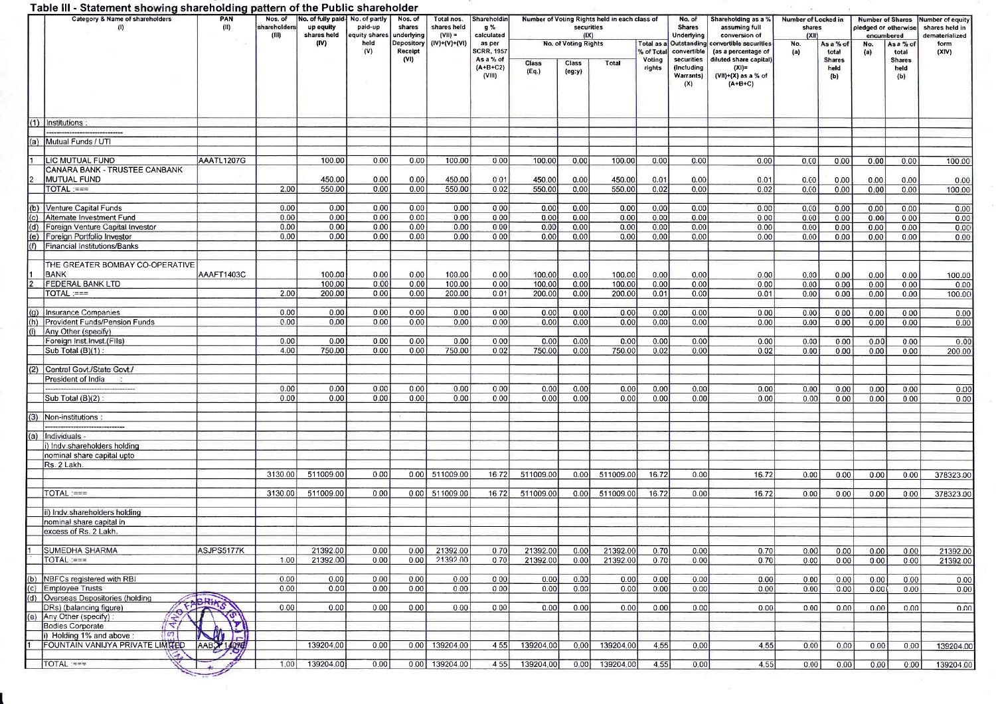## Table III - Statement showing shareholding pattern of the Public shareholder

| Table III - Statement showing shareholding pattern of the Public shareholder<br>Category & Name of shareholders |                                                                | PAN        | Nos. of               | No. of fully paid-       | No. of partly            | Nos. of               | Total nos.               | Shareholdin                           |                  |                      | Number of Voting Rights held in each class of |                         | No. of                                       | Shareholding as a %                                                   | Number of Locked in |                              | <b>Number of Shares</b>            |                              | <b>Jumber of equity</b>          |
|-----------------------------------------------------------------------------------------------------------------|----------------------------------------------------------------|------------|-----------------------|--------------------------|--------------------------|-----------------------|--------------------------|---------------------------------------|------------------|----------------------|-----------------------------------------------|-------------------------|----------------------------------------------|-----------------------------------------------------------------------|---------------------|------------------------------|------------------------------------|------------------------------|----------------------------------|
|                                                                                                                 | (1)                                                            | (II)       | shareholders<br>(III) | up equity<br>shares held | paid-up<br>equity shares | shares<br>underlying  | shares held<br>$(VII) =$ | g %<br>calculated                     |                  | securities<br>(IX)   |                                               |                         | Shares<br>Underlying                         | assuming full<br>conversion of                                        | shares<br>IXII      |                              | pledged or otherwise<br>encumbered |                              | shares held in<br>dematerialized |
|                                                                                                                 |                                                                |            |                       | (IV)                     | held<br>(V)              | Depository<br>Receipt | $(IV)+(V)+(VI)$          | as per<br><b>SCRR, 1957</b>           |                  | No. of Voting Rights |                                               | Total as a<br>% of Tota | Outstanding<br>convertible                   | convertible securities<br>(as a percentage of                         | No.<br>(a)          | As a % of<br>total           | No.<br>(a)                         | As a % of<br>total           | form<br>(XIV)                    |
|                                                                                                                 |                                                                |            |                       |                          |                          | (V)                   |                          | As a % of<br>$(A + B + C2)$<br>(VIII) | Class<br>(Eq)    | Class<br>(eg:y)      | Total                                         | Voting<br>rights        | securities<br>(Including<br>Warrantsi<br>(X) | diluted share capital)<br>(XI)=<br>$(VII)+(X)$ as a % of<br>$(A+B+C)$ |                     | <b>Shares</b><br>held<br>(b) |                                    | <b>Shares</b><br>held<br>(b) |                                  |
|                                                                                                                 |                                                                |            |                       |                          |                          |                       |                          |                                       |                  |                      |                                               |                         |                                              |                                                                       |                     |                              |                                    |                              |                                  |
|                                                                                                                 | (1) Institutions:                                              |            |                       |                          |                          |                       |                          |                                       |                  |                      |                                               |                         |                                              |                                                                       |                     |                              |                                    |                              |                                  |
|                                                                                                                 | (a) Mutual Funds / UTI                                         |            |                       |                          |                          |                       |                          |                                       |                  |                      |                                               |                         |                                              |                                                                       |                     |                              |                                    |                              |                                  |
|                                                                                                                 | LIC MUTUAL FUND                                                | AAATL1207G |                       | 100.00                   | 0.00                     | 0.00                  | 100.00                   | 0.00                                  | 100.00           | 0.00                 | 100.00                                        | 0.00                    | 0.00                                         | 0.00                                                                  | 0.00                | 0.00                         | 0.00                               | 0.00                         | 100.00                           |
|                                                                                                                 | <b>CANARA BANK - TRUSTEE CANBANK</b>                           |            |                       |                          |                          |                       |                          |                                       |                  |                      |                                               |                         |                                              |                                                                       |                     |                              |                                    |                              |                                  |
|                                                                                                                 | MUTUAL FUND <br>$TOTAL := =$                                   |            | 2.00                  | 450.00<br>550.00         | 0.00<br>0.00             | 0.00<br>0.00          | 450.00<br>550.00         | 0.01<br>0.02                          | 450.00<br>550.00 | 0.00<br>0.00         | 450.00<br>550.00                              | 0.01<br>0.02            | 0.00<br>0.00                                 | 0.01<br>0.02                                                          | 0.00<br>0.00        | 0.00<br>0.00                 | 0.00                               | 0.00                         | 0.00                             |
|                                                                                                                 |                                                                |            |                       |                          |                          |                       |                          |                                       |                  |                      |                                               |                         |                                              |                                                                       |                     |                              | 0.00                               | 0.00                         | 100.00                           |
|                                                                                                                 | (b) Venture Capital Funds                                      |            | 0.00                  | 0.00                     | 0.00                     | 0.00                  | 0.00                     | 0.00                                  | 0.00             | 0.00                 | 0.00                                          | 0.00                    | 0.00                                         | 0.00                                                                  | 0.00                | 0.00                         | 0.00                               | 0.00                         | 0.00                             |
| (c)                                                                                                             | Alternate Investment Fund                                      |            | 0.00                  | 0.00                     | 0.00                     | 0.00                  | 0.00                     | 0.00                                  | 0.00             | 0.00                 | 0.00                                          | 0.00                    | 0.00                                         | 0.00                                                                  | 0.00                | 0.00                         | 0.00                               | 0.00                         | 0.00                             |
| (d)<br>(e)                                                                                                      | Foreign Venture Capital Investor<br>Foreign Portfolio Investor |            | 0.00<br>0.00          | 0.00<br>0.00             | 0.00<br>0.00             | 0.00<br>0.00          | 0.00<br>0.00             | 0.00<br>0.00                          | 0.00<br>0.00     | 0.00<br>0.00         | 0.00<br>0.00                                  | 0.00<br>0.00            | 0.00<br>0.00                                 | 0.00<br>0.00                                                          | 0.00<br>0.00        | 0.00<br>0.00                 | 0.00<br>0.00                       | 0.00<br>0.00                 | 0.00<br>0.00                     |
| l(f)                                                                                                            | Financial Institutions/Banks                                   |            |                       |                          |                          |                       |                          |                                       |                  |                      |                                               |                         |                                              |                                                                       |                     |                              |                                    |                              |                                  |
|                                                                                                                 | THE GREATER BOMBAY CO-OPERATIVE                                |            |                       |                          |                          |                       |                          |                                       |                  |                      |                                               |                         |                                              |                                                                       |                     |                              |                                    |                              |                                  |
|                                                                                                                 | <b>BANK</b><br>FEDERAL BANK LTD                                | AAAFT1403C |                       | 100.00<br>100.00         | 0.00<br>0.00             | 0.00<br>0.00          | 100.00<br>100.00         | 0.00<br>0.00                          | 100.00<br>100.00 | 0.00<br>0.00         | 100.00<br>100.00                              | 0.00<br>0.00            | 0.00<br>0.00                                 | 0.00<br>0.00                                                          | 0.00<br>0.00        | 0.00<br>0.00                 | 0.00<br>0.00                       | 0.00<br>0.00                 | 100.00<br>0.00                   |
|                                                                                                                 | TOTAL :===                                                     |            | 2.00                  | 200.00                   | 0.00                     | 0.00                  | 200.00                   | 0.01                                  | 200.00           | 0.00                 | 200.00                                        | 0.01                    | 0.00                                         | 0.01                                                                  | 0.00                | 0.00                         | 0.00                               | 0.00                         | 100.00                           |
| (q)                                                                                                             | Insurance Companies                                            |            | 0.00                  | 0.00                     | 0.00                     | 0.00                  | 0.00                     | 0.00                                  | 0.00             | 0.00                 | 0.00                                          | 0.00                    | 0.00                                         | 0.00                                                                  | 0.00                | 0.00                         | 0.00                               | 0,00                         | 0.00                             |
| (h)                                                                                                             | <b>Provident Funds/Pension Funds</b>                           |            | 0.00                  | 0.00                     | 0.00                     | 0.00                  | 0.00                     | 0.00                                  | 0.00             | 0.00                 | 0.00                                          | 0.00                    | 0.00                                         | 0.00                                                                  | 0.00                | 0.00                         | 0.00                               | 0.00                         | 0.00                             |
| (i)                                                                                                             | Any Other (specify)                                            |            |                       |                          |                          |                       |                          |                                       |                  |                      |                                               |                         |                                              |                                                                       |                     |                              |                                    |                              |                                  |
|                                                                                                                 | Foreign Inst.Invst.(FIIs)<br>Sub Total (B)(1):                 |            | 0.00<br>4.00          | 0.00<br>750.00           | 0.00<br>0.00             | 0.00<br>0.00          | 0.00<br>750.00           | 0.00<br>0.02                          | 0.00<br>750.00   | 0.00<br>0.00         | 0.00<br>750.00                                | 0.00<br>0.02            | 0.00<br>0.00                                 | 0.00<br>0.02                                                          | 0.00<br>0.00        | 0.00<br>0.00                 | 0.00<br>0.00                       | 0.00<br>0.00                 | 0.00<br>200.00                   |
|                                                                                                                 |                                                                |            |                       |                          |                          |                       |                          |                                       |                  |                      |                                               |                         |                                              |                                                                       |                     |                              |                                    |                              |                                  |
| (2)                                                                                                             | Central Govt./State Govt./                                     |            |                       |                          |                          |                       |                          |                                       |                  |                      |                                               |                         |                                              |                                                                       |                     |                              |                                    |                              |                                  |
|                                                                                                                 | President of India                                             |            | 0.00                  | 0.00                     | 0.00                     | 0.00                  | 0.00                     | 0.00                                  | 0.00             | 0.00                 | 0.00                                          | 0.00                    | 0.00                                         | 0.00                                                                  | 0.00                | 0.00                         | 0.00                               | 0.00                         | 0.00                             |
|                                                                                                                 | Sub Total $(B)(2)$                                             |            | 0.00                  | 0.00                     | 0.00                     | 0.00                  | 0.00                     | 0.00                                  | 0.00             | 0.00                 | 0.00                                          | 0.00                    | 0.00                                         | 0.00                                                                  | 0.00                | 0.00                         | 0.00                               | 0.00                         | 0.00                             |
| (3)                                                                                                             | Non-institutions:                                              |            |                       |                          |                          |                       |                          |                                       |                  |                      |                                               |                         |                                              |                                                                       |                     |                              |                                    |                              |                                  |
|                                                                                                                 |                                                                |            |                       |                          |                          |                       |                          |                                       |                  |                      |                                               |                         |                                              |                                                                       |                     |                              |                                    |                              |                                  |
|                                                                                                                 | (a) Individuals -                                              |            |                       |                          |                          |                       |                          |                                       |                  |                      |                                               |                         |                                              |                                                                       |                     |                              |                                    |                              |                                  |
|                                                                                                                 | i) Indv.shareholders holding<br>nominal share capital upto     |            |                       |                          |                          |                       |                          |                                       |                  |                      |                                               |                         |                                              |                                                                       |                     |                              |                                    |                              |                                  |
|                                                                                                                 | Rs. 2 Lakh.                                                    |            |                       |                          |                          |                       |                          |                                       |                  |                      |                                               |                         |                                              |                                                                       |                     |                              |                                    |                              |                                  |
|                                                                                                                 |                                                                |            | 3130.00               | 511009.00                | 0.00                     |                       | 0.00 511009.00           | 16.72                                 | 511009.00        | 0.00                 | 511009.00                                     | 16.72                   | 0.00                                         | 16.72                                                                 | 0.00                | 0.00                         | 0.00                               | 0.00                         | 378323.00                        |
|                                                                                                                 | TOTAL :===                                                     |            | 3130.00               | 511009.00                | 0.00                     |                       | 0.00 511009.00           | 16.72                                 | 511009.00        | 0.00                 | 511009.00                                     | 16.72                   | 0.00                                         | 16.72                                                                 | 0.00                | 0.00                         | 0.00                               | 0.00                         | 378323.00                        |
|                                                                                                                 | ii) Indv.shareholders holding                                  |            |                       |                          |                          |                       |                          |                                       |                  |                      |                                               |                         |                                              |                                                                       |                     |                              |                                    |                              |                                  |
|                                                                                                                 | nominal share capital in                                       |            |                       |                          |                          |                       |                          |                                       |                  |                      |                                               |                         |                                              |                                                                       |                     |                              |                                    |                              |                                  |
|                                                                                                                 | excess of Rs. 2 Lakh                                           |            |                       |                          |                          |                       |                          |                                       |                  |                      |                                               |                         |                                              |                                                                       |                     |                              |                                    |                              |                                  |
|                                                                                                                 | <b>SUMEDHA SHARMA</b>                                          | ASJPS5177K |                       | 21392.00                 | 0.00                     | 0.00                  | 21392.00                 | 0.70                                  | 21392.00         | 0.00                 | 21392.00                                      | 0.70                    | 0.00                                         | 0.70                                                                  | 0.00                | 0.00                         | 0.00                               | 0.00                         | 21392.00                         |
|                                                                                                                 | TOTAL:===                                                      |            | 1.00                  | 21392.00                 | 0.00                     | 0.00                  | 21392.00                 | 0.70                                  | 21392.00         | 0.00                 | 21392.00                                      | 0.70                    | 0.00                                         | 0.70                                                                  | 0.00                | 0.00                         | 0.00                               | 0.00                         | 21392.00                         |
|                                                                                                                 |                                                                |            |                       |                          |                          |                       |                          |                                       |                  |                      |                                               |                         |                                              |                                                                       |                     |                              |                                    |                              |                                  |
|                                                                                                                 | (b) NBFCs registered with RBI<br>(c) Employee Trusts           |            | 0.00<br>0.00          | 0.00<br>0.00             | 0.00<br>0.00             | 0.00<br>0.00          | 0.00<br>0.00             | 0.00<br>0.00                          | 0.00<br>0.00     | 0.00<br>0.00         | 0.00<br>0.00                                  | 0.00<br>0.00            | 0.00<br>0.00                                 | 0.00<br>0.00                                                          | 0.00<br>0.00        | 0.00<br>0.00                 | 0.00<br>0.00                       | 0.00<br>0.00                 | 0.00<br>0.00                     |
|                                                                                                                 | (d) Overseas Depositories (holding                             |            |                       |                          |                          |                       |                          |                                       |                  |                      |                                               |                         |                                              |                                                                       |                     |                              |                                    |                              |                                  |
|                                                                                                                 | <b>COLLEGE DEL</b><br>DRs) (balancing figure)                  |            | 0.00                  | 0.00                     | 0.00                     | 0.00                  | 0.00                     | 0.00                                  | 0.00             | 0.00                 | 0.00                                          | 0.00                    | 0.00                                         | 0.00                                                                  | 0.00                | 0.00                         | 0.00                               | 0.00                         | 0.00                             |
|                                                                                                                 | (e) Any Other (specify):                                       |            |                       |                          |                          |                       |                          |                                       |                  |                      |                                               |                         |                                              |                                                                       |                     |                              |                                    |                              |                                  |
|                                                                                                                 | <b>Bodies Corporate</b><br>160<br>i) Holding 1% and above:     |            |                       |                          |                          |                       |                          |                                       |                  |                      |                                               |                         |                                              |                                                                       |                     |                              |                                    |                              |                                  |
|                                                                                                                 | FOUNTAIN VANIJYA PRIVATE LIMITED                               | AABO 14076 |                       | 139204.00                | 0.00                     | 0.00                  | 139204.00                | 4.55                                  | 139204.00        | 0.00                 | 139204.00                                     | 4.55                    | 0.00                                         | 4.55                                                                  | 0.00                | 0.00                         | 0.00                               | 0.00                         | 139204.00                        |
|                                                                                                                 | TOTAL :===                                                     |            | 1.00                  | 139204.00                | 0.00                     |                       | $0.00$ 139204.00         | 4 5 5                                 | 139204.00        | 0.00                 | 139204.00                                     | 4.55                    | 0.00                                         | 4.55                                                                  |                     |                              | 0.00                               |                              |                                  |
|                                                                                                                 |                                                                |            |                       |                          |                          |                       |                          |                                       |                  |                      |                                               |                         |                                              |                                                                       | 0.00                | 0.00                         |                                    | 0.00                         | 139204.00                        |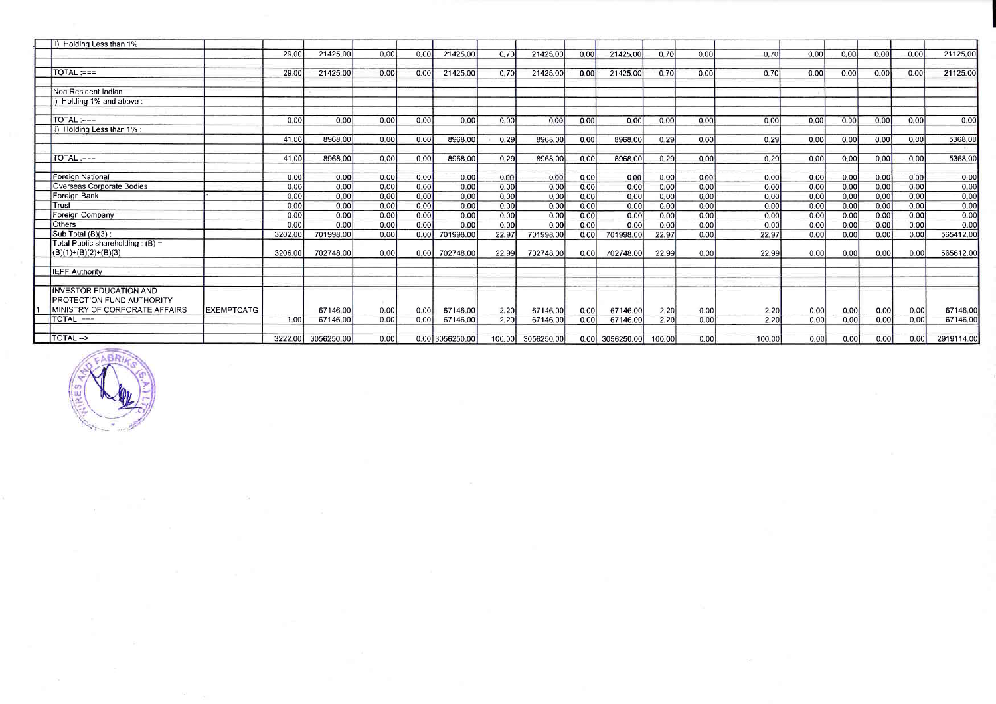| ii) Holding Less than 1% :                                   |                   |         |                    |      |      |                 |       |                   |      |                 |        |      |        |       |      |      |      |            |
|--------------------------------------------------------------|-------------------|---------|--------------------|------|------|-----------------|-------|-------------------|------|-----------------|--------|------|--------|-------|------|------|------|------------|
|                                                              |                   | 29.00   | 21425.00           | 0.00 | 0.00 | 21425.00        | 0.70  | 21425.00          | 0.00 | 21425.00        | 0.70   | 0.00 | 0.70   | 0.00  | 0.00 | 0.00 | 0.00 | 21125.00   |
| $TOTAL := =$                                                 |                   | 29.00   | 21425.00           | 0.00 | 0.00 | 21425.00        | 0.70  | 21425.00          | 0.00 | 21425.00        | 0.70   | 0.00 | 0.70   | 0.00  | 0.00 | 0.00 | 0.00 | 21125.00   |
| Non Resident Indian                                          |                   |         |                    |      |      |                 |       |                   |      |                 |        |      |        |       |      |      |      |            |
| i) Holding 1% and above:                                     |                   |         |                    |      |      |                 |       |                   |      |                 |        |      |        |       |      |      |      |            |
| TOTAL :===                                                   |                   | 0.00    | 0.00               | 0.00 | 0.00 | 0.00            | 0.00  | 0.00              | 0.00 | 0.00            | 0.00   | 0.00 | 0.00   | 0.00  | 0.00 | 0.00 | 0.00 | 0.00       |
| i) Holding Less than 1% :                                    |                   | 41.00   | 8968.00            | 0.00 | 0.00 | 8968.00         | 0.29  | 8968.00           | 0.00 | 8968.00         | 0.29   | 0.00 | 0.29   | 0.00  | 0.00 | 0.00 | 0.00 | 5368.00    |
|                                                              |                   |         |                    |      |      |                 |       |                   |      |                 |        |      |        |       |      |      |      |            |
| TOTAL :===                                                   |                   | 41.00   | 8968.00            | 0.00 | 0.00 | 8968.00         | 0.29  | 8968.00           | 0.00 | 8968.00         | 0.29   | 0.00 | 0.29   | 0.00  | 0.00 | 0.00 | 0.00 | 5368.00    |
| Foreign National                                             |                   | 0.00    | 0.00               | 0.00 | 0.00 | 0.00            | 0.00  | 0.00              | 0.00 | 0.00            | 0.00   | 0.00 | 0.00   | 0.00  | 0.00 | 0.00 | 0.00 | 0.00       |
| Overseas Corporate Bodies                                    |                   | 0.00    | 0.00               | 0.00 | 0.00 | 0.00            | 0.00  | 0.00              | 0.00 | 0.00            | 0.00   | 0.00 | 0.00   | 0.00  | 0.00 | 0.00 | 0.00 | 0.00       |
| Foreign Bank                                                 |                   | 0.00    | 0.00               | 0.00 | 0.00 | 0.00            | 0.00  | 0.00              | 0.00 | 0.00            | 0.00   | 0.00 | 0.00   | 0.00  | 0.00 | 0.00 | 0.00 | 0.00       |
| Trust                                                        |                   | 0.00    | 0.00               | 0.00 | 0.00 | 0.00            | 0.00  | 0.00              | 0.00 | 0.00            | 0.00   | 0.00 | 0.00   | 0.00  | 0.00 | 0.00 | 0.00 | 0.00       |
| Foreign Company                                              |                   | 0.00    | 0.00               | 0.00 | 0.00 | 0.00            | 0.00  | 0.00              | 0.00 | 0.00            | 0.00   | 0.00 | 0.00   | 0.00  | 0.00 | 0.00 | 0.00 | 0.00       |
| <b>Others</b>                                                |                   | 0.00    | 0.00               | 0.00 | 0.00 | 0.00            | 0.00  | 0.00              | 0.00 | 0.00            | 0.00   | 0.00 | 0.00   | 0.00  | 0.00 | 0.00 | 0.00 | 0.00       |
| Sub Total (B)(3):                                            |                   | 3202.00 | 701998.00          | 0.00 | 0.00 | 701998.00       | 22.97 | 701998.00         | 0.00 | 701998.00       | 22.97  | 0.00 | 22.97  | 0.00  | 0.00 | 0.00 | 0.00 | 565412.00  |
| Total Public shareholding: $(B) =$<br>$(B)(1)+(B)(2)+(B)(3)$ |                   | 3206.00 | 702748.00          | 0.00 |      | 0.00 702748.00  | 22.99 | 702748.00         | 0.00 | 702748.00       | 22.99  | 0.00 | 22.99  | 0.001 | 0.00 | 0.00 | 0.00 | 565612.00  |
|                                                              |                   |         |                    |      |      |                 |       |                   |      |                 |        |      |        |       |      |      |      |            |
| <b>IEPF Authority</b>                                        |                   |         |                    |      |      |                 |       |                   |      |                 |        |      |        |       |      |      |      |            |
| INVESTOR EDUCATION AND<br>PROTECTION FUND AUTHORITY          |                   |         |                    |      |      |                 |       |                   |      |                 |        |      |        |       |      |      |      |            |
| MINISTRY OF CORPORATE AFFAIRS                                | <b>EXEMPTCATG</b> |         | 67146.00           | 0.00 | 0.00 | 67146.00        | 2.20  | 67146.00          | 0.00 | 67146.00        | 2.20   | 0.00 | 2.20   | 0.00  | 0.00 | 0.00 | 0.00 | 67146.00   |
| $TOTAL :=$                                                   |                   | 1.00    | 67146.00           | 0.00 | 0.00 | 67146.00        | 2.20  | 67146.00          | 0.00 | 67146.00        | 2.20   | 0.00 | 2.20   | 0.00  | 0.00 | 0.00 | 0.00 | 67146.00   |
| TOTAL -->                                                    |                   |         | 3222.00 3056250.00 | 0.00 |      | 0.00 3056250.00 |       | 100.00 3056250.00 |      | 0.00 3056250.00 | 100.00 | 0.00 | 100.00 | 0.00  | 0.00 | 0.00 | 0.00 | 2919114.00 |



 $\sim$ 

 $\sim$ 

 $\omega$  .  $\omega$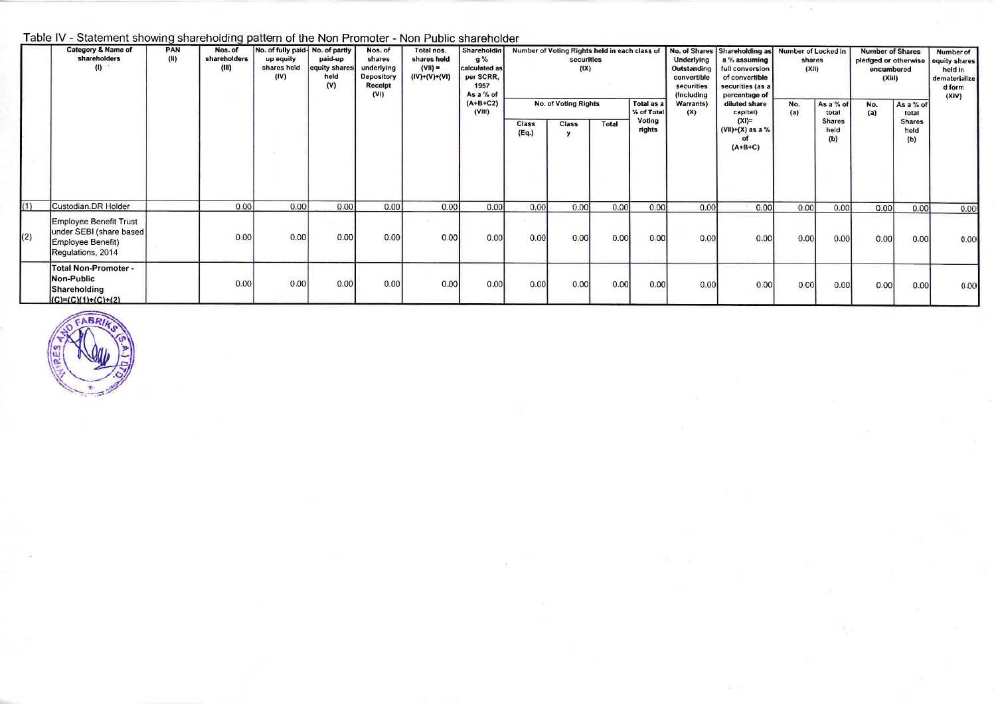## Table IV - Statement showing shareholding pattern of the Non Promoter - Non Public shareholder

|     | Category & Name of<br>shareholders<br>(I)                                                    | PAN<br>(H) | Nos. of<br>shareholders<br>(III) | No. of fully paid. No. of partly<br>paid-up<br>up equity<br>shares held<br>equity shares<br>(IV)<br>held<br>(V) |      | Nos. of<br>shares<br>underlying<br>Depository<br>Receipt<br>(VI) | Total nos.<br>shares held<br>$(VII) =$<br>(IV)+(V)+(VI) | Shareholdin<br>g %<br>calculated as<br>per SCRR,<br>1957<br>As a % of<br>$(A+B+C2)$<br>(VIII) |                       | Number of Voting Rights held in each class of<br>securities<br>(IX)<br>No. of Voting Rights<br>Total as a<br>% of Total |       |                  | No. of Shares Shareholding as Number of Locked in<br>Underlying<br>a % assuming<br>Outstanding<br>full conversion<br>convertible<br>of convertible<br>securities<br>securities (as a<br>(Including<br>percentage of<br>Warrants)<br>diluted share<br>(X)<br>capital) |                                                 | shares<br>(XII)<br>As a % of<br>No.<br>(a)<br>total |                              | <b>Number of Shares</b><br>pledged or otherwise equity shares<br>encumbered<br>(XIII)<br>As a % of<br>No.<br>(a)<br>total |                              | <b>Number of</b><br>held in<br>dematerialize<br>d form<br>(XIV) |
|-----|----------------------------------------------------------------------------------------------|------------|----------------------------------|-----------------------------------------------------------------------------------------------------------------|------|------------------------------------------------------------------|---------------------------------------------------------|-----------------------------------------------------------------------------------------------|-----------------------|-------------------------------------------------------------------------------------------------------------------------|-------|------------------|----------------------------------------------------------------------------------------------------------------------------------------------------------------------------------------------------------------------------------------------------------------------|-------------------------------------------------|-----------------------------------------------------|------------------------------|---------------------------------------------------------------------------------------------------------------------------|------------------------------|-----------------------------------------------------------------|
|     |                                                                                              |            |                                  |                                                                                                                 |      |                                                                  |                                                         |                                                                                               | <b>Class</b><br>(Eq.) | Class<br>y                                                                                                              | Total | Voting<br>rights |                                                                                                                                                                                                                                                                      | $(XI)=$<br>$(VII)+(X)$ as a %<br>പ<br>$(A+B+C)$ |                                                     | <b>Shares</b><br>held<br>(b) |                                                                                                                           | <b>Shares</b><br>held<br>(b) |                                                                 |
| (1) | Custodian.DR Holder                                                                          |            | 0.00                             | 0.00                                                                                                            | 0.00 | 0.001                                                            | 0.001                                                   | 0.001                                                                                         | 0.00                  | 0.00                                                                                                                    | 0.00  | 0.00             | 0.00                                                                                                                                                                                                                                                                 | 0.00                                            | 0.00                                                | 0.00                         | 0.00                                                                                                                      | 0.00                         | 0.00                                                            |
| (2) | Employee Benefit Trust<br>under SEBI (share based)<br>Employee Benefit)<br>Regulations, 2014 |            | 0.00                             | 0.00                                                                                                            | 0.00 | 0.00                                                             | 0.00                                                    | 0.00                                                                                          | 0.00                  | 0.00                                                                                                                    | 0.00  | 0.00             | 0.00                                                                                                                                                                                                                                                                 | 0.00                                            | 0.00                                                | 0.00                         | 0.00                                                                                                                      | 0.00                         | 0.00                                                            |
|     | <b>Total Non-Promoter -</b><br>Non-Public<br>Shareholding<br>$(C)=(C)(1)+(C)+(2)$            |            | 0.00                             | 0.00                                                                                                            | 0.00 | 0.00                                                             | 0.00                                                    | 0.00                                                                                          | 0.00                  | 0.00                                                                                                                    | 0.00  | 0.00             | 0.00                                                                                                                                                                                                                                                                 | 0.00                                            | 0.00                                                | 0.00                         | 0.00                                                                                                                      | 0.00                         | 0.00                                                            |